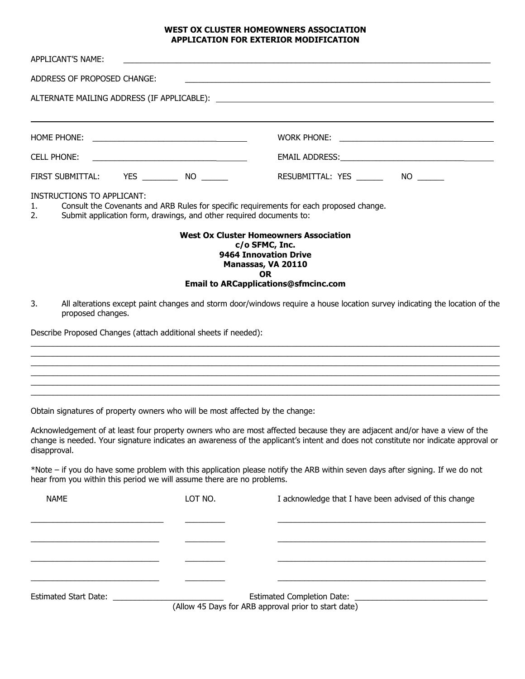## **WEST OX CLUSTER HOMEOWNERS ASSOCIATION APPLICATION FOR EXTERIOR MODIFICATION**

| APPLICANT'S NAME:                                                             |                                                                     | the contract of the contract of the contract of the contract of the contract of the contract of the contract of                                                            |                                                                                                                                    |
|-------------------------------------------------------------------------------|---------------------------------------------------------------------|----------------------------------------------------------------------------------------------------------------------------------------------------------------------------|------------------------------------------------------------------------------------------------------------------------------------|
| ADDRESS OF PROPOSED CHANGE:                                                   |                                                                     | <u> 1989 - Johann Stoff, amerikansk politiker (d. 1989)</u>                                                                                                                |                                                                                                                                    |
|                                                                               |                                                                     |                                                                                                                                                                            |                                                                                                                                    |
|                                                                               |                                                                     |                                                                                                                                                                            |                                                                                                                                    |
| CELL PHONE:                                                                   |                                                                     |                                                                                                                                                                            |                                                                                                                                    |
|                                                                               |                                                                     | RESUBMITTAL: YES ________ NO ______                                                                                                                                        |                                                                                                                                    |
| <b>INSTRUCTIONS TO APPLICANT:</b><br>1.<br>2.                                 | Submit application form, drawings, and other required documents to: | Consult the Covenants and ARB Rules for specific requirements for each proposed change.                                                                                    |                                                                                                                                    |
| 3.<br>proposed changes.                                                       |                                                                     | <b>West Ox Cluster Homeowners Association</b><br>c/o SFMC, Inc.<br>9464 Innovation Drive<br>Manassas, VA 20110<br><b>OR</b><br><b>Email to ARCapplications@sfmcinc.com</b> | All alterations except paint changes and storm door/windows require a house location survey indicating the location of the         |
| Describe Proposed Changes (attach additional sheets if needed):               |                                                                     |                                                                                                                                                                            |                                                                                                                                    |
| Obtain signatures of property owners who will be most affected by the change: |                                                                     |                                                                                                                                                                            |                                                                                                                                    |
| disapproval.                                                                  |                                                                     | Acknowledgement of at least four property owners who are most affected because they are adjacent and/or have a view of the                                                 | change is needed. Your signature indicates an awareness of the applicant's intent and does not constitute nor indicate approval or |
| hear from you within this period we will assume there are no problems.        |                                                                     | *Note – if you do have some problem with this application please notify the ARB within seven days after signing. If we do not                                              |                                                                                                                                    |
| <b>NAME</b>                                                                   | LOT NO.                                                             | I acknowledge that I have been advised of this change                                                                                                                      |                                                                                                                                    |
| $E$ ctimated $E$ tart Dator                                                   |                                                                     | Estimated Completion Data:                                                                                                                                                 |                                                                                                                                    |

Estimated Start Date: \_\_\_\_\_\_\_\_\_\_\_\_\_\_\_\_\_\_\_\_\_\_\_\_\_ Estimated Completion Date: \_\_\_\_\_\_\_\_\_\_\_\_\_\_\_\_\_\_\_\_\_\_\_\_\_\_\_\_\_\_ (Allow 45 Days for ARB approval prior to start date)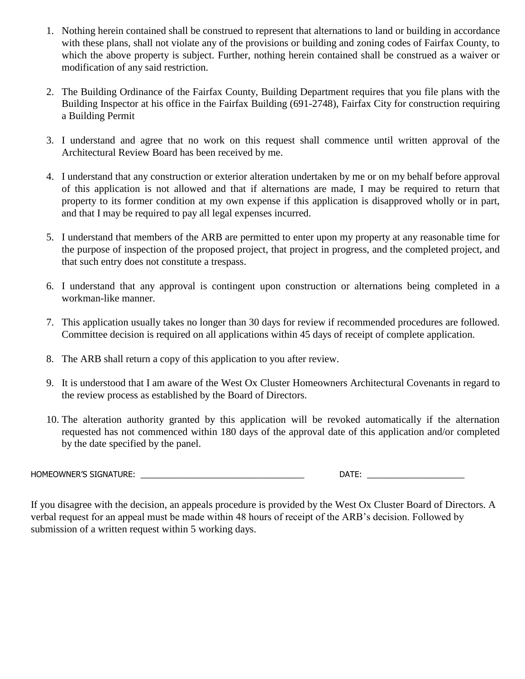- 1. Nothing herein contained shall be construed to represent that alternations to land or building in accordance with these plans, shall not violate any of the provisions or building and zoning codes of Fairfax County, to which the above property is subject. Further, nothing herein contained shall be construed as a waiver or modification of any said restriction.
- 2. The Building Ordinance of the Fairfax County, Building Department requires that you file plans with the Building Inspector at his office in the Fairfax Building (691-2748), Fairfax City for construction requiring a Building Permit
- 3. I understand and agree that no work on this request shall commence until written approval of the Architectural Review Board has been received by me.
- 4. I understand that any construction or exterior alteration undertaken by me or on my behalf before approval of this application is not allowed and that if alternations are made, I may be required to return that property to its former condition at my own expense if this application is disapproved wholly or in part, and that I may be required to pay all legal expenses incurred.
- 5. I understand that members of the ARB are permitted to enter upon my property at any reasonable time for the purpose of inspection of the proposed project, that project in progress, and the completed project, and that such entry does not constitute a trespass.
- 6. I understand that any approval is contingent upon construction or alternations being completed in a workman-like manner.
- 7. This application usually takes no longer than 30 days for review if recommended procedures are followed. Committee decision is required on all applications within 45 days of receipt of complete application.
- 8. The ARB shall return a copy of this application to you after review.
- 9. It is understood that I am aware of the West Ox Cluster Homeowners Architectural Covenants in regard to the review process as established by the Board of Directors.
- 10. The alteration authority granted by this application will be revoked automatically if the alternation requested has not commenced within 180 days of the approval date of this application and/or completed by the date specified by the panel.

HOMEOWNER'S SIGNATURE: \_\_\_\_\_\_\_\_\_\_\_\_\_\_\_\_\_\_\_\_\_\_\_\_\_\_\_\_\_\_\_\_\_\_\_\_\_ DATE: \_\_\_\_\_\_\_\_\_\_\_\_\_\_\_\_\_\_\_\_\_\_

If you disagree with the decision, an appeals procedure is provided by the West Ox Cluster Board of Directors. A verbal request for an appeal must be made within 48 hours of receipt of the ARB's decision. Followed by submission of a written request within 5 working days.